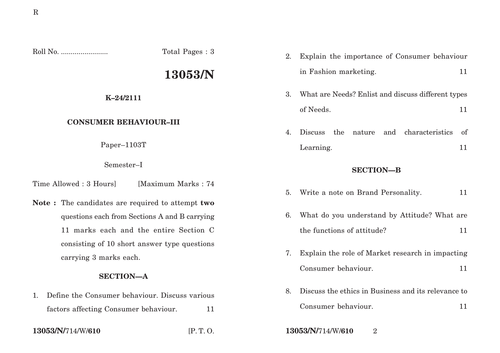Roll No. ........................ Total Pages : 3 **13053/N K–24/2111 CONSUMER BEHAVIOUR–III** Paper–1103T Semester–I Time Allowed : 3 Hours [Maximum Marks : 74] **Note :** The candidates are required to attempt **two** questions each from Sections A and B carrying **SECTION—B** 5. Write a note on Brand Personality. 11

11 marks each and the entire Section C consisting of 10 short answer type questions carrying 3 marks each.

## **SECTION—A**

1. Define the Consumer behaviour. Discuss various factors affecting Consumer behaviour. 11

2. Explain the importance of Consumer behaviour in Fashion marketing. 11

- 3. What are Needs? Enlist and discuss different types of Needs. 11
- 4. Discuss the nature and characteristics of Learning. 11

- 
- 6. What do you understand by Attitude? What are the functions of attitude? 11
- 7. Explain the role of Market research in impacting Consumer behaviour. 11
- 8. Discuss the ethics in Business and its relevance to Consumer behaviour. 11
- **13053/N/**714/W/**610** [P. T. O. **13053/N/**714/W/**610** 2